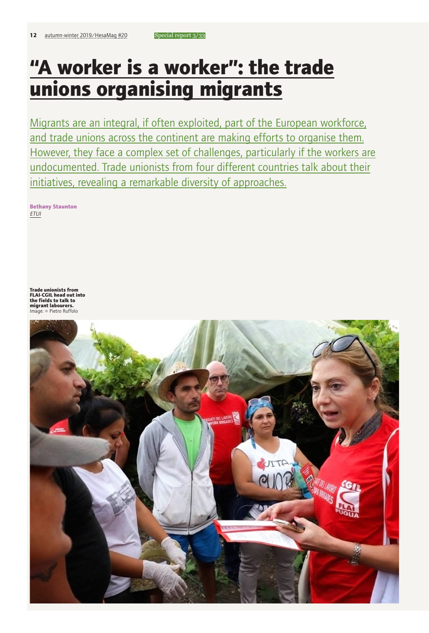# **"A worker is a worker": the trade unions organising migrants**

Migrants are an integral, if often exploited, part of the European workforce, and trade unions across the continent are making efforts to organise them. However, they face a complex set of challenges, particularly if the workers are undocumented. Trade unionists from four different countries talk about their initiatives, revealing a remarkable diversity of approaches.

**Bethany Staunton** *ETUI*

**Trade unionists from FLAI-CGIL head out into the fields to talk to migrant labourers.**

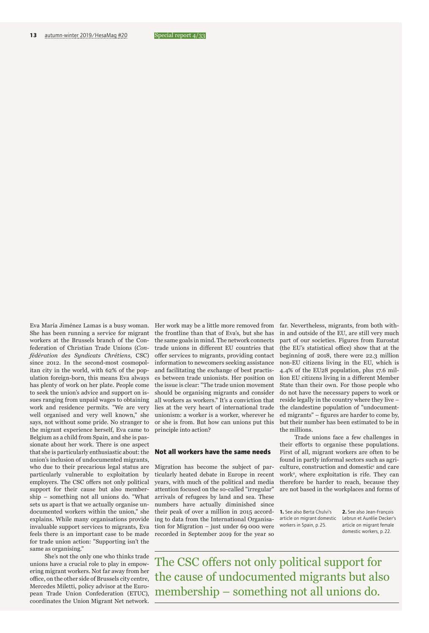Eva María Jiménez Lamas is a busy woman. She has been running a service for migrant workers at the Brussels branch of the Confederation of Christian Trade Unions (*Confédération des Syndicats Chrétiens*, CSC) since 2012. In the second-most cosmopolitan city in the world, with 62% of the population foreign-born, this means Eva always has plenty of work on her plate. People come to seek the union's advice and support on issues ranging from unpaid wages to obtaining work and residence permits. "We are very well organised and very well known," she says, not without some pride. No stranger to the migrant experience herself, Eva came to Belgium as a child from Spain, and she is passionate about her work. There is one aspect that she is particularly enthusiastic about: the union's inclusion of undocumented migrants, who due to their precarious legal status are particularly vulnerable to exploitation by employers. The CSC offers not only political support for their cause but also membership – something not all unions do. "What sets us apart is that we actually organise undocumented workers within the union," she explains. While many organisations provide invaluable support services to migrants, Eva feels there is an important case to be made for trade union action: "Supporting isn't the same as organising."

She's not the only one who thinks trade unions have a crucial role to play in empowering migrant workers. Not far away from her office, on the other side of Brussels city centre, Mercedes Miletti, policy advisor at the European Trade Union Confederation (ETUC), coordinates the Union Migrant Net network.

Her work may be a little more removed from the frontline than that of Eva's, but she has the same goals in mind. The network connects trade unions in different EU countries that offer services to migrants, providing contact information to newcomers seeking assistance and facilitating the exchange of best practises between trade unionists. Her position on the issue is clear: "The trade union movement should be organising migrants and consider all workers as workers." It's a conviction that lies at the very heart of international trade unionism: a worker is a worker, wherever he or she is from. But how can unions put this principle into action?

## **Not all workers have the same needs**

Migration has become the subject of particularly heated debate in Europe in recent years, with much of the political and media attention focused on the so-called "irregular" arrivals of refugees by land and sea. These numbers have actually diminished since their peak of over a million in 2015 according to data from the International Organisation for Migration – just under 69 000 were recorded in September 2019 for the year so

far. Nevertheless, migrants, from both within and outside of the EU, are still very much part of our societies. Figures from Eurostat (the EU's statistical office) show that at the beginning of 2018, there were 22.3 million non-EU citizens living in the EU, which is 4.4% of the EU28 population, plus 17.6 million EU citizens living in a different Member State than their own. For those people who do not have the necessary papers to work or reside legally in the country where they live – the clandestine population of "undocumented migrants" – figures are harder to come by, but their number has been estimated to be in the millions.

Trade unions face a few challenges in their efforts to organise these populations. First of all, migrant workers are often to be found in partly informal sectors such as agriculture, construction and domestic<sup>1</sup> and care work2, where exploitation is rife. They can therefore be harder to reach, because they are not based in the workplaces and forms of

**1.** See also Berta Chulvi's article on migrant domestic workers in Spain, p.25.

**2.** See also Jean-François Lebrun et Aurélie Decker's article on migrant female domestic workers, p.22.

The CSC offers not only political support for the cause of undocumented migrants but also membership – something not all unions do.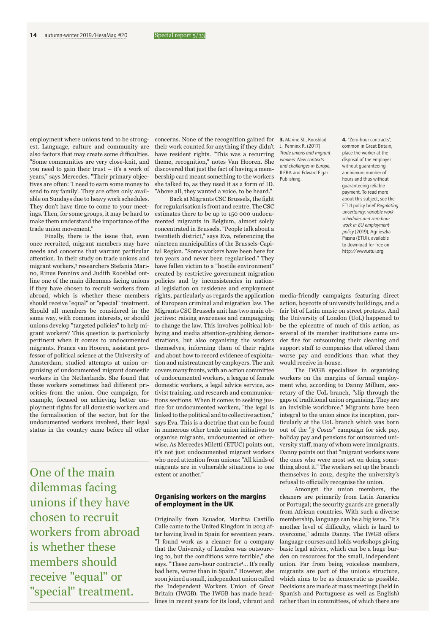employment where unions tend to be strongest. Language, culture and community are also factors that may create some difficulties. "Some communities are very close-knit, and you need to gain their trust – it's a work of years," says Mercedes. "Their primary objectives are often: 'I need to earn some money to send to my family'. They are often only available on Sundays due to heavy work schedules. They don't have time to come to your meetings. Then, for some groups, it may be hard to make them understand the importance of the trade union movement."

Finally, there is the issue that, even once recruited, migrant members may have needs and concerns that warrant particular attention. In their study on trade unions and migrant workers,<sup>3</sup> researchers Stefania Marino, Rinus Penninx and Judith Roosblad outline one of the main dilemmas facing unions if they have chosen to recruit workers from abroad, which is whether these members should receive "equal" or "special" treatment. Should all members be considered in the same way, with common interests, or should unions develop "targeted policies" to help migrant workers? This question is particularly pertinent when it comes to undocumented migrants. Franca van Hooren, assistant professor of political science at the University of Amsterdam, studied attempts at union organising of undocumented migrant domestic workers in the Netherlands. She found that these workers sometimes had different priorities from the union. One campaign, for example, focused on achieving better employment rights for all domestic workers and the formalisation of the sector, but for the undocumented workers involved, their legal status in the country came before all other

One of the main dilemmas facing unions if they have chosen to recruit workers from abroad is whether these members should receive "equal" or "special" treatment.

concerns. None of the recognition gained for their work counted for anything if they didn't have resident rights. "This was a recurring theme, recognition," notes Van Hooren. She discovered that just the fact of having a membership card meant something to the workers she talked to, as they used it as a form of ID. "Above all, they wanted a voice, to be heard."

Back at Migrants CSC Brussels, the fight for regularisation is front and centre. The CSC estimates there to be up to 150 000 undocumented migrants in Belgium, almost solely concentrated in Brussels. "People talk about a twentieth district," says Eva, referencing the nineteen municipalities of the Brussels-Capital Region. "Some workers have been here for ten years and never been regularised." They have fallen victim to a "hostile environment" created by restrictive government migration policies and by inconsistencies in national legislation on residence and employment rights, particularly as regards the application of European criminal and migration law. The Migrants CSC Brussels unit has two main objectives: raising awareness and campaigning to change the law. This involves political lobbying and media attention-grabbing demonstrations, but also organising the workers themselves, informing them of their rights and about how to record evidence of exploitation and mistreatment by employers. The unit covers many fronts, with an action committee of undocumented workers, a league of female domestic workers, a legal advice service, activist training, and research and communications sections. When it comes to seeking justice for undocumented workers, "the legal is linked to the political and to collective action," says Eva. This is a doctrine that can be found in numerous other trade union initiatives to organise migrants, undocumented or otherwise. As Mercedes Miletti (ETUC) points out, it's not just undocumented migrant workers who need attention from unions: "All kinds of migrants are in vulnerable situations to one extent or another."

## **Organising workers on the margins of employment in the UK**

Originally from Ecuador, Maritza Castillo Calle came to the United Kingdom in 2013 after having lived in Spain for seventeen years. "I found work as a cleaner for a company that the University of London was outsourcing to, but the conditions were terrible," she says. "These zero-hour contracts<sup>4</sup>... It's really bad here, worse than in Spain." However, she soon joined a small, independent union called the Independent Workers Union of Great Britain (IWGB). The IWGB has made headlines in recent years for its loud, vibrant and **3.** Marino St., Roosblad J., Penninx R. (2017) *Trade unions and migrant workers: New contexts and challenges in Europe*, ILERA and Edward Elgar Publishing.

### **4.** "Zero-hour contracts", common in Great Britain, place the worker at the disposal of the employer without guaranteeing a minimum number of hours and thus without guaranteeing reliable payment. To read more about this subject, see the ETUI policy brief *Regulating uncertainty: variable work schedules and zero-hour work in EU employment policy* (2019), Agnieszka Piasna (ETUI), available to download for free on http://www.etui.org.

media-friendly campaigns featuring direct action, boycotts of university buildings, and a fair bit of Latin music on street protests. And the University of London (UoL) happened to be the epicentre of much of this action, as several of its member institutions came under fire for outsourcing their cleaning and support staff to companies that offered them worse pay and conditions than what they would receive in-house.

The IWGB specialises in organising workers on the margins of formal employment who, according to Danny Millum, secretary of the UoL branch, "slip through the gaps of traditional union organising. They are an invisible workforce." Migrants have been integral to the union since its inception, particularly at the UoL branch which was born out of the "*3 Cosas*" campaign for sick pay, holiday pay and pensions for outsourced university staff, many of whom were immigrants. Danny points out that "migrant workers were the ones who were most set on doing something about it." The workers set up the branch themselves in 2012, despite the university's refusal to officially recognise the union.

Amongst the union members, the cleaners are primarily from Latin America or Portugal; the security guards are generally from African countries. With such a diverse membership, language can be a big issue. "It's another level of difficulty, which is hard to overcome," admits Danny. The IWGB offers language courses and holds workshops giving basic legal advice, which can be a huge burden on resources for the small, independent union. Far from being voiceless members, migrants are part of the union's structure, which aims to be as democratic as possible. Decisions are made at mass meetings (held in Spanish and Portuguese as well as English) rather than in committees, of which there are